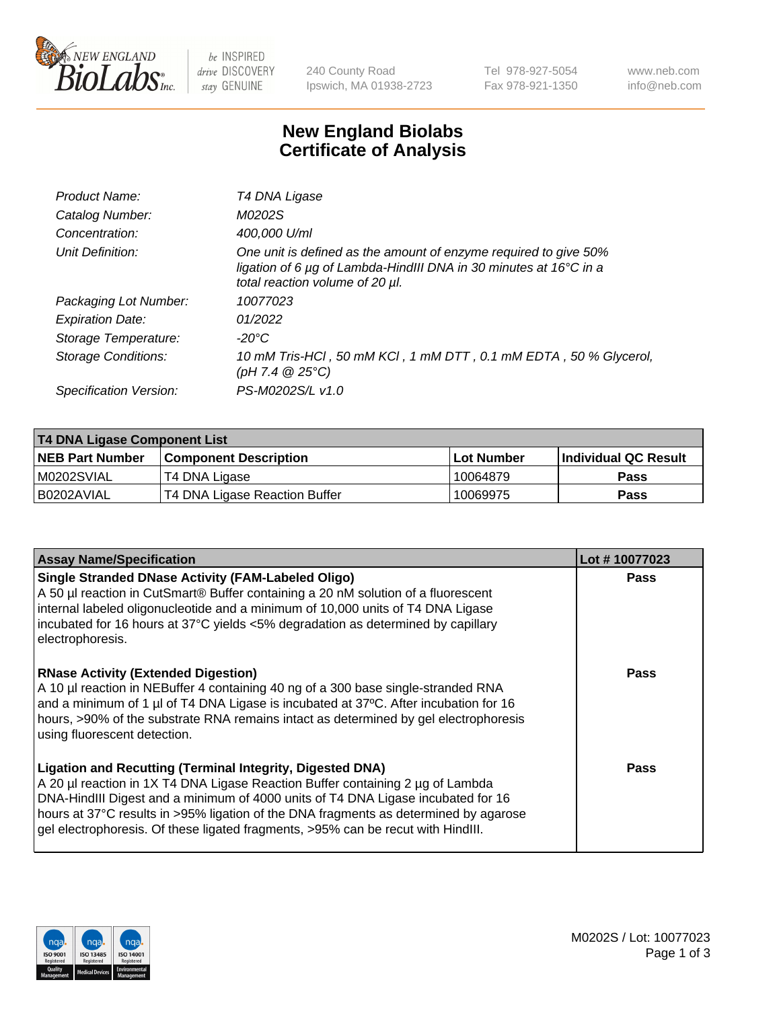

be INSPIRED drive DISCOVERY stay GENUINE

240 County Road Ipswich, MA 01938-2723 Tel 978-927-5054 Fax 978-921-1350 www.neb.com info@neb.com

## **New England Biolabs Certificate of Analysis**

| Product Name:              | T4 DNA Ligase                                                                                                                                                            |
|----------------------------|--------------------------------------------------------------------------------------------------------------------------------------------------------------------------|
| Catalog Number:            | M0202S                                                                                                                                                                   |
| Concentration:             | 400,000 U/ml                                                                                                                                                             |
| Unit Definition:           | One unit is defined as the amount of enzyme required to give 50%<br>ligation of 6 µg of Lambda-HindIII DNA in 30 minutes at 16°C in a<br>total reaction volume of 20 µl. |
| Packaging Lot Number:      | 10077023                                                                                                                                                                 |
| <b>Expiration Date:</b>    | 01/2022                                                                                                                                                                  |
| Storage Temperature:       | -20°C                                                                                                                                                                    |
| <b>Storage Conditions:</b> | 10 mM Tris-HCl, 50 mM KCl, 1 mM DTT, 0.1 mM EDTA, 50 % Glycerol,<br>(pH 7.4 $@25°C$ )                                                                                    |
| Specification Version:     | PS-M0202S/L v1.0                                                                                                                                                         |

| T4 DNA Ligase Component List |                               |              |                             |  |  |
|------------------------------|-------------------------------|--------------|-----------------------------|--|--|
| <b>NEB Part Number</b>       | <b>Component Description</b>  | l Lot Number | <b>Individual QC Result</b> |  |  |
| M0202SVIAL                   | T4 DNA Ligase                 | 10064879     | <b>Pass</b>                 |  |  |
| I B0202AVIAL                 | T4 DNA Ligase Reaction Buffer | 10069975     | <b>Pass</b>                 |  |  |

| <b>Assay Name/Specification</b>                                                                                                                                                                                                                                                                                                                                                                             | Lot #10077023 |
|-------------------------------------------------------------------------------------------------------------------------------------------------------------------------------------------------------------------------------------------------------------------------------------------------------------------------------------------------------------------------------------------------------------|---------------|
| <b>Single Stranded DNase Activity (FAM-Labeled Oligo)</b><br>A 50 µl reaction in CutSmart® Buffer containing a 20 nM solution of a fluorescent<br>internal labeled oligonucleotide and a minimum of 10,000 units of T4 DNA Ligase<br>incubated for 16 hours at 37°C yields <5% degradation as determined by capillary<br>electrophoresis.                                                                   | <b>Pass</b>   |
| <b>RNase Activity (Extended Digestion)</b><br>A 10 µl reaction in NEBuffer 4 containing 40 ng of a 300 base single-stranded RNA<br>and a minimum of 1 µl of T4 DNA Ligase is incubated at 37 $\degree$ C. After incubation for 16<br>hours, >90% of the substrate RNA remains intact as determined by gel electrophoresis<br>using fluorescent detection.                                                   | Pass          |
| Ligation and Recutting (Terminal Integrity, Digested DNA)<br>A 20 µl reaction in 1X T4 DNA Ligase Reaction Buffer containing 2 µg of Lambda<br>DNA-HindIII Digest and a minimum of 4000 units of T4 DNA Ligase incubated for 16<br>hours at 37°C results in >95% ligation of the DNA fragments as determined by agarose<br>gel electrophoresis. Of these ligated fragments, >95% can be recut with HindIII. | Pass          |

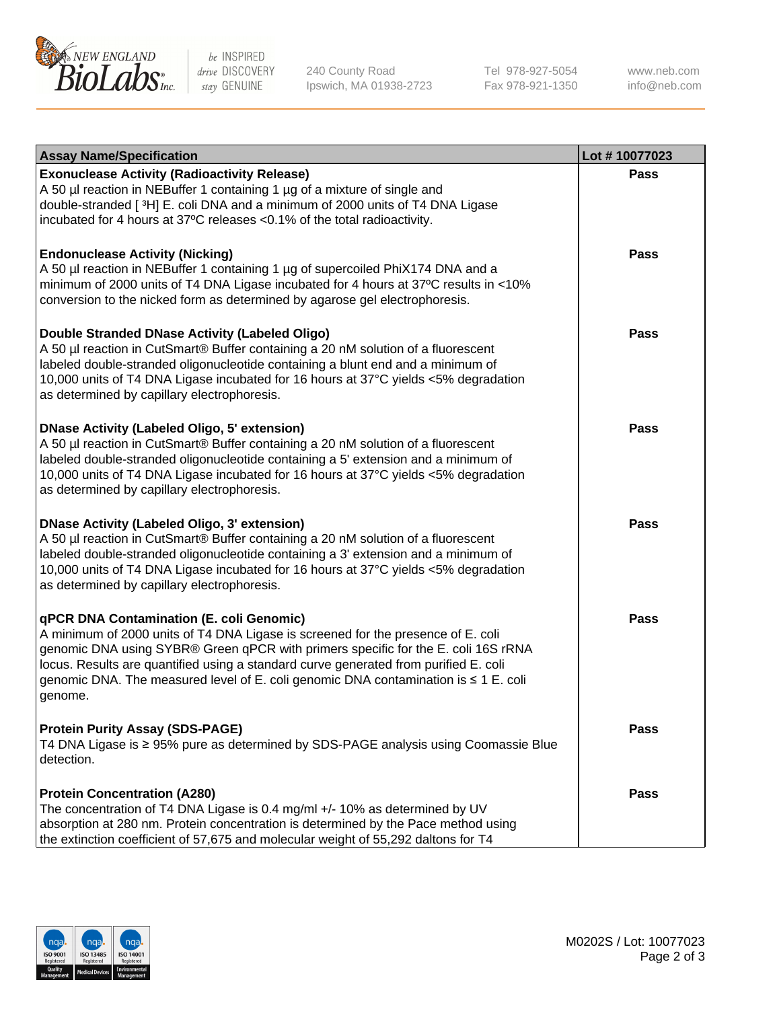

be INSPIRED drive DISCOVERY stay GENUINE

240 County Road Ipswich, MA 01938-2723 Tel 978-927-5054 Fax 978-921-1350

www.neb.com info@neb.com

| <b>Assay Name/Specification</b>                                                                                                                                                                                                                                                                                                                                                                             | Lot #10077023 |
|-------------------------------------------------------------------------------------------------------------------------------------------------------------------------------------------------------------------------------------------------------------------------------------------------------------------------------------------------------------------------------------------------------------|---------------|
| <b>Exonuclease Activity (Radioactivity Release)</b><br>A 50 µl reaction in NEBuffer 1 containing 1 µg of a mixture of single and<br>double-stranded [3H] E. coli DNA and a minimum of 2000 units of T4 DNA Ligase<br>incubated for 4 hours at 37°C releases <0.1% of the total radioactivity.                                                                                                               | <b>Pass</b>   |
| <b>Endonuclease Activity (Nicking)</b><br>A 50 µl reaction in NEBuffer 1 containing 1 µg of supercoiled PhiX174 DNA and a<br>minimum of 2000 units of T4 DNA Ligase incubated for 4 hours at 37°C results in <10%<br>conversion to the nicked form as determined by agarose gel electrophoresis.                                                                                                            | Pass          |
| Double Stranded DNase Activity (Labeled Oligo)<br>A 50 µl reaction in CutSmart® Buffer containing a 20 nM solution of a fluorescent<br>labeled double-stranded oligonucleotide containing a blunt end and a minimum of<br>10,000 units of T4 DNA Ligase incubated for 16 hours at 37°C yields <5% degradation<br>as determined by capillary electrophoresis.                                                | Pass          |
| <b>DNase Activity (Labeled Oligo, 5' extension)</b><br>A 50 µl reaction in CutSmart® Buffer containing a 20 nM solution of a fluorescent<br>labeled double-stranded oligonucleotide containing a 5' extension and a minimum of<br>10,000 units of T4 DNA Ligase incubated for 16 hours at 37°C yields <5% degradation<br>as determined by capillary electrophoresis.                                        | Pass          |
| <b>DNase Activity (Labeled Oligo, 3' extension)</b><br>A 50 µl reaction in CutSmart® Buffer containing a 20 nM solution of a fluorescent<br>labeled double-stranded oligonucleotide containing a 3' extension and a minimum of<br>10,000 units of T4 DNA Ligase incubated for 16 hours at 37°C yields <5% degradation<br>as determined by capillary electrophoresis.                                        | Pass          |
| qPCR DNA Contamination (E. coli Genomic)<br>A minimum of 2000 units of T4 DNA Ligase is screened for the presence of E. coli<br>genomic DNA using SYBR® Green qPCR with primers specific for the E. coli 16S rRNA<br>locus. Results are quantified using a standard curve generated from purified E. coli<br>genomic DNA. The measured level of E. coli genomic DNA contamination is ≤ 1 E. coli<br>genome. | <b>Pass</b>   |
| <b>Protein Purity Assay (SDS-PAGE)</b><br>T4 DNA Ligase is ≥ 95% pure as determined by SDS-PAGE analysis using Coomassie Blue<br>detection.                                                                                                                                                                                                                                                                 | Pass          |
| <b>Protein Concentration (A280)</b><br>The concentration of T4 DNA Ligase is 0.4 mg/ml +/- 10% as determined by UV<br>absorption at 280 nm. Protein concentration is determined by the Pace method using<br>the extinction coefficient of 57,675 and molecular weight of 55,292 daltons for T4                                                                                                              | Pass          |